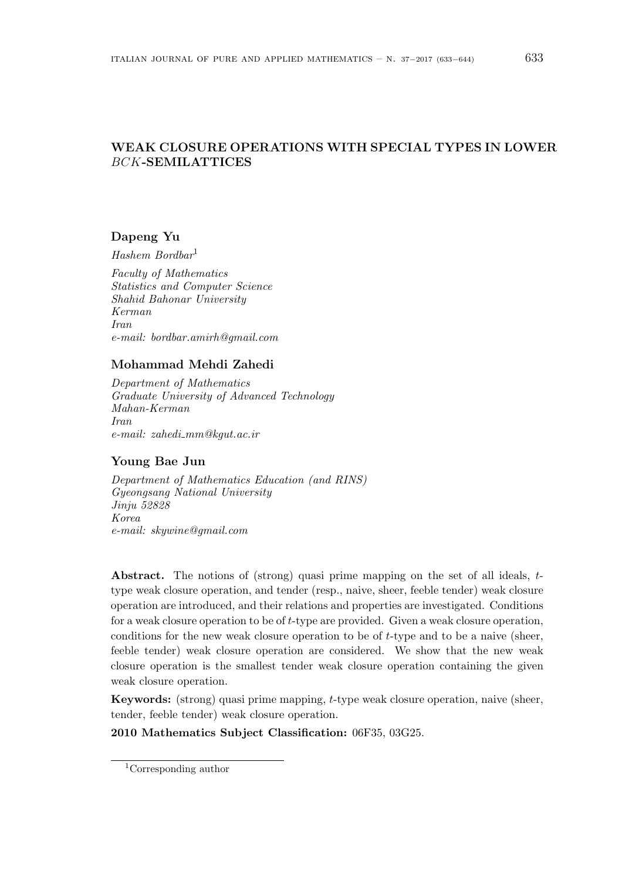# **WEAK CLOSURE OPERATIONS WITH SPECIAL TYPES IN LOWER** *BCK***-SEMILATTICES**

# **Dapeng Yu**

*Hashem Bordbar*<sup>1</sup>

*Faculty of Mathematics Statistics and Computer Science Shahid Bahonar University Kerman Iran e-mail: bordbar.amirh@gmail.com*

# **Mohammad Mehdi Zahedi**

*Department of Mathematics Graduate University of Advanced Technology Mahan-Kerman Iran e-mail: zahedi mm@kgut.ac.ir*

### **Young Bae Jun**

*Department of Mathematics Education (and RINS) Gyeongsang National University Jinju 52828 Korea e-mail: skywine@gmail.com*

**Abstract.** The notions of (strong) quasi prime mapping on the set of all ideals, *t*type weak closure operation, and tender (resp., naive, sheer, feeble tender) weak closure operation are introduced, and their relations and properties are investigated. Conditions for a weak closure operation to be of *t*-type are provided. Given a weak closure operation, conditions for the new weak closure operation to be of *t*-type and to be a naive (sheer, feeble tender) weak closure operation are considered. We show that the new weak closure operation is the smallest tender weak closure operation containing the given weak closure operation.

**Keywords:** (strong) quasi prime mapping, *t*-type weak closure operation, naive (sheer, tender, feeble tender) weak closure operation.

**2010 Mathematics Subject Classification:** 06F35, 03G25.

<sup>1</sup>Corresponding author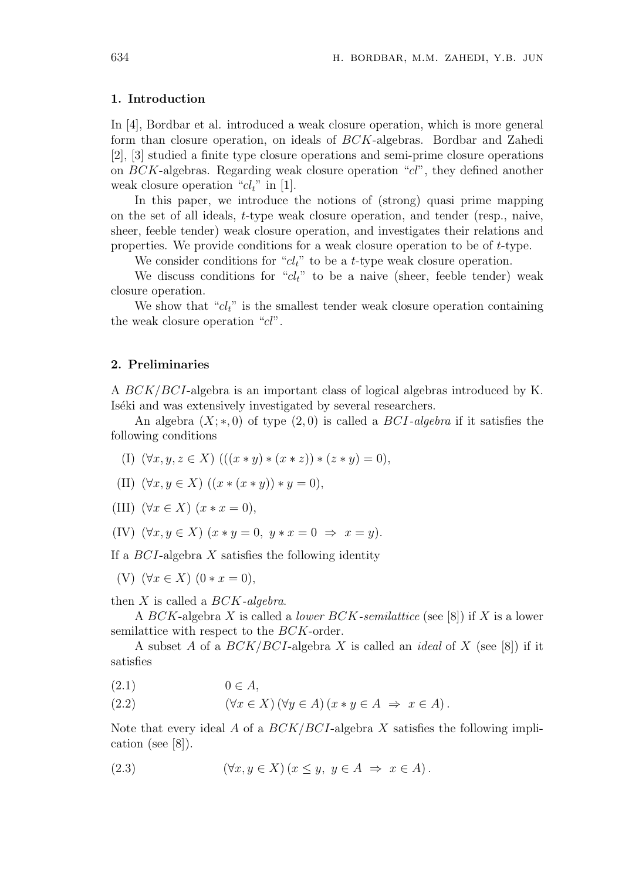#### **1. Introduction**

In [4], Bordbar et al. introduced a weak closure operation, which is more general form than closure operation, on ideals of *BCK*-algebras. Bordbar and Zahedi [2], [3] studied a finite type closure operations and semi-prime closure operations on *BCK*-algebras. Regarding weak closure operation "*cl*", they defined another weak closure operation "*clt*" in [1].

In this paper, we introduce the notions of (strong) quasi prime mapping on the set of all ideals, *t*-type weak closure operation, and tender (resp., naive, sheer, feeble tender) weak closure operation, and investigates their relations and properties. We provide conditions for a weak closure operation to be of *t*-type.

We consider conditions for "*cl<sub>t</sub>*" to be a *t*-type weak closure operation.

We discuss conditions for " $cl_t$ " to be a naive (sheer, feeble tender) weak closure operation.

We show that "*cl<sub>t</sub>*" is the smallest tender weak closure operation containing the weak closure operation "*cl*".

#### **2. Preliminaries**

A *BCK/BCI*-algebra is an important class of logical algebras introduced by K. Iséki and was extensively investigated by several researchers.

An algebra (*X*; *∗,* 0) of type (2*,* 0) is called a *BCI-algebra* if it satisfies the following conditions

- (I)  $(\forall x, y, z \in X)$   $(((x * y) * (x * z)) * (z * y) = 0),$
- (II)  $(\forall x, y \in X) ((x * (x * y)) * y = 0),$
- (III)  $(\forall x \in X)$   $(x * x = 0)$ ,
- (IV)  $(\forall x, y \in X)$   $(x * y = 0, y * x = 0 \Rightarrow x = y)$ .

If a *BCI*-algebra *X* satisfies the following identity

(V)  $(\forall x \in X)$   $(0 * x = 0)$ ,

then *X* is called a *BCK-algebra*.

A *BCK*-algebra *X* is called a *lower BCK-semilattice* (see [8]) if *X* is a lower semilattice with respect to the *BCK*-order.

A subset *A* of a *BCK/BCI*-algebra *X* is called an *ideal* of *X* (see [8]) if it satisfies

 $(2.1)$  0  $\in$  *A*,

(2.2) 
$$
(\forall x \in X) (\forall y \in A) (x * y \in A \Rightarrow x \in A).
$$

Note that every ideal *A* of a *BCK/BCI*-algebra *X* satisfies the following implication (see [8]).

(2.3) 
$$
(\forall x, y \in X) (x \le y, y \in A \Rightarrow x \in A).
$$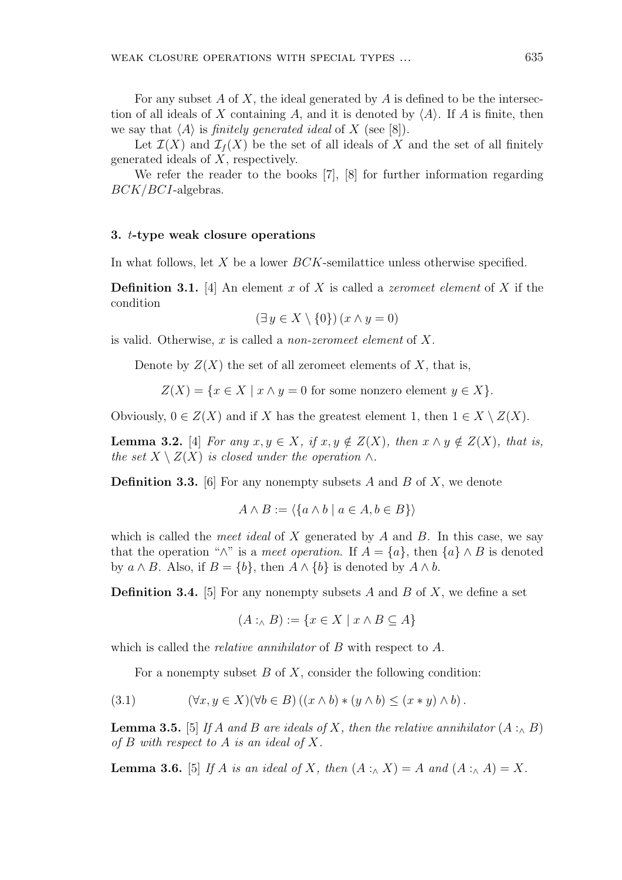For any subset *A* of *X*, the ideal generated by *A* is defined to be the intersection of all ideals of *X* containing *A*, and it is denoted by  $\langle A \rangle$ . If *A* is finite, then we say that  $\langle A \rangle$  is *finitely generated ideal* of *X* (see [8]).

Let  $\mathcal{I}(X)$  and  $\mathcal{I}_f(X)$  be the set of all ideals of X and the set of all finitely generated ideals of *X*, respectively.

We refer the reader to the books [7], [8] for further information regarding *BCK/BCI*-algebras.

### **3.** *t***-type weak closure operations**

In what follows, let *X* be a lower *BCK*-semilattice unless otherwise specified.

**Definition 3.1.** [4] An element *x* of *X* is called a *zeromeet element* of *X* if the condition

$$
(\exists y \in X \setminus \{0\}) (x \wedge y = 0)
$$

is valid. Otherwise, *x* is called a *non-zeromeet element* of *X*.

Denote by  $Z(X)$  the set of all zeromeet elements of X, that is,

 $Z(X) = \{x \in X \mid x \wedge y = 0 \text{ for some nonzero element } y \in X\}.$ 

Obviously,  $0 \in Z(X)$  and if *X* has the greatest element 1, then  $1 \in X \setminus Z(X)$ .

**Lemma 3.2.** [4] *For any*  $x, y \in X$ *, if*  $x, y \notin Z(X)$ *, then*  $x \wedge y \notin Z(X)$ *, that is, the set*  $X \setminus Z(X)$  *is closed under the operation*  $\wedge$ *.* 

**Definition 3.3.** [6] For any nonempty subsets *A* and *B* of *X*, we denote

$$
A \wedge B := \langle \{a \wedge b \mid a \in A, b \in B\} \rangle
$$

which is called the *meet ideal* of *X* generated by *A* and *B*. In this case, we say that the operation " $\wedge$ " is a *meet operation*. If  $A = \{a\}$ , then  $\{a\} \wedge B$  is denoted by  $a \wedge B$ . Also, if  $B = \{b\}$ , then  $A \wedge \{b\}$  is denoted by  $A \wedge b$ .

**Definition 3.4.** [5] For any nonempty subsets *A* and *B* of *X*, we define a set

$$
(A:_{\wedge} B) := \{ x \in X \mid x \wedge B \subseteq A \}
$$

which is called the *relative annihilator* of *B* with respect to *A*.

For a nonempty subset *B* of *X*, consider the following condition:

$$
(3.1) \qquad (\forall x, y \in X)(\forall b \in B)((x \wedge b) * (y \wedge b) \le (x * y) \wedge b).
$$

**Lemma 3.5.** [5] *If A and B are ideals of X, then the relative annihilator*  $(A : \wedge B)$ *of B with respect to A is an ideal of X.*

**Lemma 3.6.** [5] *If A is an ideal of X, then*  $(A : \wedge X) = A$  *and*  $(A : \wedge A) = X$ *.*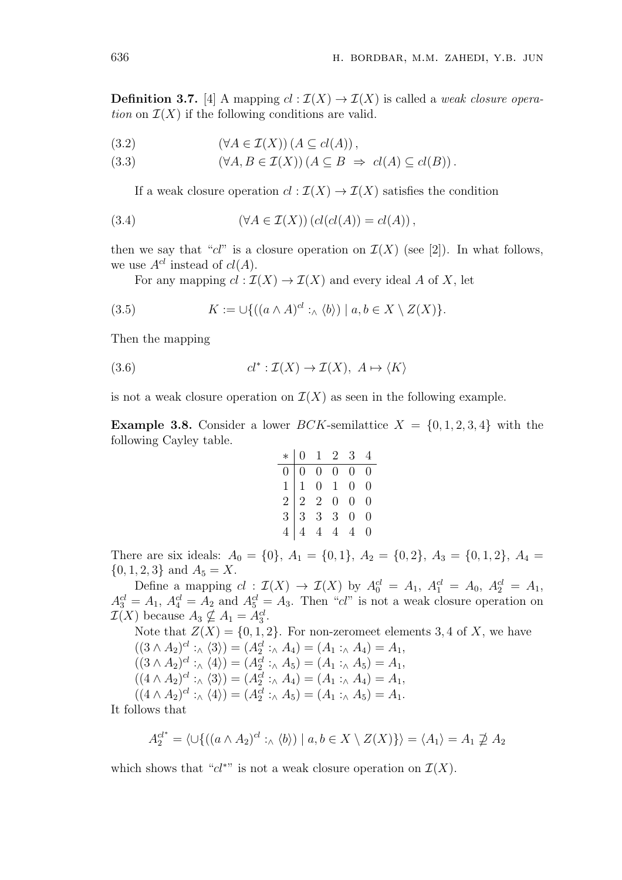**Definition 3.7.** [4] A mapping  $cl : \mathcal{I}(X) \to \mathcal{I}(X)$  is called a *weak closure operation* on  $\mathcal{I}(X)$  if the following conditions are valid.

$$
(3.2) \qquad (\forall A \in \mathcal{I}(X)) \left( A \subseteq cl(A) \right),
$$

(3.3) 
$$
(\forall A, B \in \mathcal{I}(X)) (A \subseteq B \Rightarrow cl(A) \subseteq cl(B)).
$$

If a weak closure operation  $cl : \mathcal{I}(X) \to \mathcal{I}(X)$  satisfies the condition

(3.4) 
$$
(\forall A \in \mathcal{I}(X)) (cl(cl(A)) = cl(A)),
$$

then we say that " $cl$ " is a closure operation on  $\mathcal{I}(X)$  (see [2]). In what follows, we use  $A^{cl}$  instead of  $cl(A)$ .

For any mapping  $cl : \mathcal{I}(X) \to \mathcal{I}(X)$  and every ideal *A* of *X*, let

(3.5) 
$$
K := \cup \{ ((a \wedge A)^{cl} :_{\wedge} \langle b \rangle) \mid a, b \in X \setminus Z(X) \}.
$$

Then the mapping

(3.6) 
$$
cl^*: \mathcal{I}(X) \to \mathcal{I}(X), \ A \mapsto \langle K \rangle
$$

is not a weak closure operation on  $\mathcal{I}(X)$  as seen in the following example.

**Example 3.8.** Consider a lower *BCK*-semilattice  $X = \{0, 1, 2, 3, 4\}$  with the following Cayley table.

$$
\begin{array}{c|cccc}\n* & 0 & 1 & 2 & 3 & 4 \\
\hline\n0 & 0 & 0 & 0 & 0 & 0 \\
1 & 1 & 0 & 1 & 0 & 0 \\
2 & 2 & 2 & 0 & 0 & 0 \\
3 & 3 & 3 & 3 & 0 & 0 \\
4 & 4 & 4 & 4 & 4 & 0\n\end{array}
$$

There are six ideals:  $A_0 = \{0\}$ ,  $A_1 = \{0, 1\}$ ,  $A_2 = \{0, 2\}$ ,  $A_3 = \{0, 1, 2\}$ ,  $A_4 =$  $\{0, 1, 2, 3\}$  and  $A_5 = X$ .

Define a mapping  $cl : \mathcal{I}(X) \to \mathcal{I}(X)$  by  $A_0^{cl} = A_1, A_1^{cl} = A_0, A_2^{cl} = A_1$ ,  $A_3^{cl} = A_1, A_4^{cl} = A_2$  and  $A_5^{cl} = A_3$ . Then "*cl*" is not a weak closure operation on  $\mathcal{I}(X)$  because  $A_3 \nsubseteq A_1 = A_3^{cl}$ .

Note that  $Z(X) = \{0, 1, 2\}$ . For non-zeromeet elements 3, 4 of X, we have  $((3 \wedge A_2)^{cl}: \wedge \langle 3 \rangle) = (A_2^{cl}: \wedge A_4) = (A_1: \wedge A_4) = A_1,$  $((3 \wedge A_2)^{cl} : \wedge \langle 4 \rangle) = (A_2^{cl} : \wedge A_5) = (A_1 : \wedge A_5) = A_1,$  $((4 \wedge A_2)^{cl} : \wedge \langle 3 \rangle) = (A_2^{cl} : \wedge A_4) = (A_1 : \wedge A_4) = A_1,$  $((4 \wedge A_2)^{cl}: \wedge \langle 4 \rangle) = (A_2^{cl}: \wedge A_5) = (A_1: \wedge A_5) = A_1.$ 

It follows that

$$
A_2^{cl^*} = \langle \cup \{ ((a \wedge A_2)^{cl} :_{\wedge} \langle b \rangle) \mid a, b \in X \setminus Z(X) \} \rangle = \langle A_1 \rangle = A_1 \not\supseteq A_2
$$

which shows that " $cl^*$ " is not a weak closure operation on  $\mathcal{I}(X)$ .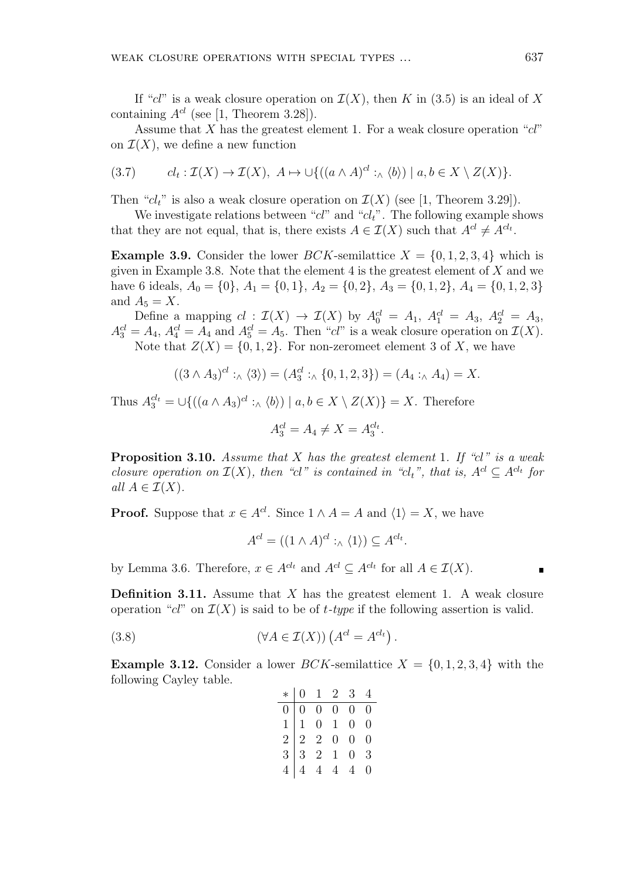If "*cl*" is a weak closure operation on  $\mathcal{I}(X)$ , then *K* in (3.5) is an ideal of *X* containing  $A^{cl}$  (see [1, Theorem 3.28]).

Assume that *X* has the greatest element 1. For a weak closure operation "*cl*" on  $\mathcal{I}(X)$ , we define a new function

$$
(3.7) \t cl_t: \mathcal{I}(X) \to \mathcal{I}(X), \ A \mapsto \cup \{((a \wedge A)^{cl} :_{\wedge} \langle b \rangle) \mid a, b \in X \setminus Z(X)\}.
$$

Then " $cl_t$ " is also a weak closure operation on  $\mathcal{I}(X)$  (see [1, Theorem 3.29]).

We investigate relations between "*cl*" and "*clt*". The following example shows that they are not equal, that is, there exists  $A \in \mathcal{I}(X)$  such that  $A^{cl} \neq A^{cl_t}$ .

**Example 3.9.** Consider the lower *BCK*-semilattice  $X = \{0, 1, 2, 3, 4\}$  which is given in Example 3.8. Note that the element 4 is the greatest element of *X* and we have 6 ideals,  $A_0 = \{0\}$ ,  $A_1 = \{0, 1\}$ ,  $A_2 = \{0, 2\}$ ,  $A_3 = \{0, 1, 2\}$ ,  $A_4 = \{0, 1, 2, 3\}$ and  $A_5 = X$ .

Define a mapping  $cl: \mathcal{I}(X) \to \mathcal{I}(X)$  by  $A_0^{cl} = A_1, A_1^{cl} = A_3, A_2^{cl} = A_3$ ,  $A_3^{cl} = A_4$ ,  $A_4^{cl} = A_4$  and  $A_5^{cl} = A_5$ . Then "*cl*" is a weak closure operation on  $\mathcal{I}(X)$ . Note that  $Z(X) = \{0, 1, 2\}$ . For non-zeromeet element 3 of X, we have

$$
((3 \wedge A_3)^{cl} :_{\wedge} \langle 3 \rangle) = (A_3^{cl} :_{\wedge} \{0, 1, 2, 3\}) = (A_4 :_{\wedge} A_4) = X.
$$

Thus  $A_3^{cl_t} = \bigcup \{ ((a \wedge A_3)^{cl} : \wedge \langle b \rangle) \mid a, b \in X \setminus Z(X) \} = X$ . Therefore

$$
A_3^{cl} = A_4 \neq X = A_3^{cl_t}.
$$

**Proposition 3.10.** *Assume that X has the greatest element* 1*. If "cl" is a weak closure operation on*  $\mathcal{I}(X)$ *, then "cl" is contained in "cl<sub>t</sub>", that is,*  $A^{cl} \subseteq A^{cl_t}$  for  $all A \in \mathcal{I}(X)$ .

**Proof.** Suppose that  $x \in A^{cl}$ . Since  $1 \wedge A = A$  and  $\langle 1 \rangle = X$ , we have

$$
A^{cl} = ((1 \wedge A)^{cl} :_{\wedge} \langle 1 \rangle) \subseteq A^{cl_t}.
$$

by Lemma 3.6. Therefore,  $x \in A^{cl_t}$  and  $A^{cl} \subseteq A^{cl_t}$  for all  $A \in \mathcal{I}(X)$ .

**Definition 3.11.** Assume that *X* has the greatest element 1. A weak closure operation " $cl$ " on  $\mathcal{I}(X)$  is said to be of  $t$ *-type* if the following assertion is valid.

(3.8) 
$$
(\forall A \in \mathcal{I}(X)) \left( A^{cl} = A^{cl_t} \right).
$$

**Example 3.12.** Consider a lower *BCK*-semilattice  $X = \{0, 1, 2, 3, 4\}$  with the following Cayley table.

|  |  | $\begin{array}{c cccc} * & 0 & 1 & 2 & 3 & 4 \\ \hline 0 & 0 & 0 & 0 & 0 & 0 \\ 1 & 1 & 0 & 1 & 0 & 0 \\ 2 & 2 & 2 & 0 & 0 & 0 \\ 3 & 3 & 2 & 1 & 0 & 3 \\ 4 & 4 & 4 & 4 & 4 & 0 \\ \end{array}$ |  |
|--|--|--------------------------------------------------------------------------------------------------------------------------------------------------------------------------------------------------|--|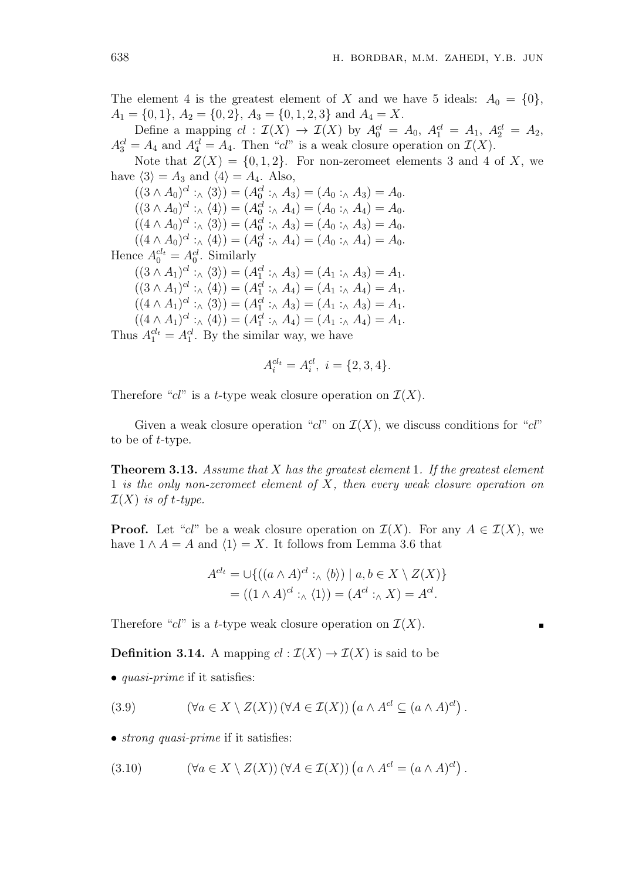The element 4 is the greatest element of *X* and we have 5 ideals:  $A_0 = \{0\}$ ,  $A_1 = \{0, 1\}, A_2 = \{0, 2\}, A_3 = \{0, 1, 2, 3\}$  and  $A_4 = X$ .

Define a mapping  $cl: \mathcal{I}(X) \to \mathcal{I}(X)$  by  $A_0^{cl} = A_0$ ,  $A_1^{cl} = A_1$ ,  $A_2^{cl} = A_2$ ,  $A_3^{cl} = A_4$  and  $A_4^{cl} = A_4$ . Then "*cl*" is a weak closure operation on  $\mathcal{I}(X)$ .

Note that  $Z(X) = \{0, 1, 2\}$ . For non-zeromeet elements 3 and 4 of X, we have  $\langle 3 \rangle = A_3$  and  $\langle 4 \rangle = A_4$ . Also,

 $((3 \wedge A_0)^{cl}: \wedge \langle 3 \rangle) = (A_0^{cl}: \wedge A_3) = (A_0: \wedge A_3) = A_0.$  $((3 \wedge A_0)^{cl}: \wedge \langle 4 \rangle) = (A_0^{cl}: \wedge A_4) = (A_0: \wedge A_4) = A_0.$  $((4 \wedge A_0)^{cl}: \wedge \langle 3 \rangle) = (A_0^{cl}: \wedge A_3) = (A_0: \wedge A_3) = A_0.$  $((4 \wedge A_0)^{cl} : \wedge \langle 4 \rangle) = (A_0^{cl} : \wedge A_4) = (A_0 : \wedge A_4) = A_0.$ Hence  $A_0^{cl_t} = A_0^{cl}$ . Similarly  $((3 \wedge A_1)^{cl} : \wedge \langle 3 \rangle) = (A_1^{cl} : \wedge A_3) = (A_1 : \wedge A_3) = A_1.$  $((3 \wedge A_1)^{cl}: \wedge \langle 4 \rangle) = (A_1^{cl}: \wedge A_4) = (A_1: \wedge A_4) = A_1.$  $((4 \wedge A_1)^{cl} : \wedge \langle 3 \rangle) = (A_1^{cl} : \wedge A_3) = (A_1 : \wedge A_3) = A_1.$  $((4 \wedge A_1)^{cl} : \wedge \langle 4 \rangle) = (A_1^{cl} : \wedge A_4) = (A_1 : \wedge A_4) = A_1.$ Thus  $A_1^{cl_t} = A_1^{cl}$ . By the similar way, we have

$$
A_i^{cl_t} = A_i^{cl}, \ i = \{2, 3, 4\}.
$$

Therefore " $cl$ " is a *t*-type weak closure operation on  $\mathcal{I}(X)$ .

Given a weak closure operation " $cl$ " on  $\mathcal{I}(X)$ , we discuss conditions for " $cl$ " to be of *t*-type.

**Theorem 3.13.** *Assume that X has the greatest element* 1*. If the greatest element* 1 *is the only non-zeromeet element of X, then every weak closure operation on*  $\mathcal{I}(X)$  *is of t-type.* 

**Proof.** Let "*cl*" be a weak closure operation on  $\mathcal{I}(X)$ . For any  $A \in \mathcal{I}(X)$ , we have  $1 \wedge A = A$  and  $\langle 1 \rangle = X$ . It follows from Lemma 3.6 that

$$
A^{cl_t} = \bigcup \{ ((a \wedge A)^{cl} :_{\wedge} \langle b \rangle) \mid a, b \in X \setminus Z(X) \}
$$
  
= ((1 \wedge A)^{cl} :\_{\wedge} \langle 1 \rangle) = (A^{cl} :\_{\wedge} X) = A^{cl}.

Therefore " $cl$ " is a *t*-type weak closure operation on  $\mathcal{I}(X)$ .

**Definition 3.14.** A mapping  $cl : \mathcal{I}(X) \to \mathcal{I}(X)$  is said to be

*• quasi-prime* if it satisfies:

(3.9) 
$$
(\forall a \in X \setminus Z(X)) (\forall A \in \mathcal{I}(X)) (a \wedge A^{cl} \subseteq (a \wedge A)^{cl}).
$$

• *strong quasi-prime* if it satisfies:

(3.10) 
$$
(\forall a \in X \setminus Z(X)) (\forall A \in \mathcal{I}(X)) (a \wedge A^{cl} = (a \wedge A)^{cl}).
$$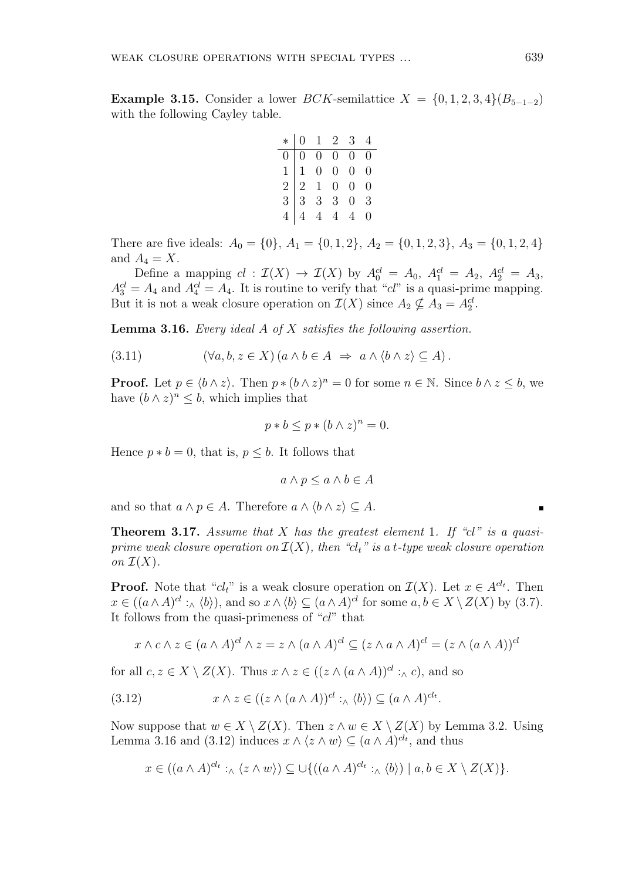**Example 3.15.** Consider a lower *BCK*-semilattice  $X = \{0, 1, 2, 3, 4\}$  $(B_{5-1-2})$ with the following Cayley table.

|  |  | $*   0 1 2 3 4$                                                                                                     |  |
|--|--|---------------------------------------------------------------------------------------------------------------------|--|
|  |  | $\begin{array}{c cccc} 0&0&0&0&0&0\ 0&0&0&0&0&0\ 1&1&0&0&0&0\ 2&2&1&0&0&0\ 3&3&3&3&0&3\ 4&4&4&4&4&0&0\ \end{array}$ |  |
|  |  |                                                                                                                     |  |
|  |  |                                                                                                                     |  |
|  |  |                                                                                                                     |  |
|  |  |                                                                                                                     |  |

There are five ideals:  $A_0 = \{0\}, A_1 = \{0, 1, 2\}, A_2 = \{0, 1, 2, 3\}, A_3 = \{0, 1, 2, 4\}$ and  $A_4 = X$ .

Define a mapping  $cl : \mathcal{I}(X) \to \mathcal{I}(X)$  by  $A_0^{cl} = A_0$ ,  $A_1^{cl} = A_2$ ,  $A_2^{cl} = A_3$ ,  $A_3^{cl} = A_4$  and  $A_4^{cl} = A_4$ . It is routine to verify that "*cl*" is a quasi-prime mapping. But it is not a weak closure operation on  $\mathcal{I}(X)$  since  $A_2 \nsubseteq A_3 = A_2^{cl}$ .

**Lemma 3.16.** *Every ideal A of X satisfies the following assertion.*

$$
(3.11) \qquad (\forall a, b, z \in X) (a \wedge b \in A \Rightarrow a \wedge \langle b \wedge z \rangle \subseteq A).
$$

**Proof.** Let  $p \in \langle b \wedge z \rangle$ . Then  $p * (b \wedge z)^n = 0$  for some  $n \in \mathbb{N}$ . Since  $b \wedge z \leq b$ , we have  $(b \wedge z)^n \leq b$ , which implies that

$$
p * b \le p * (b \wedge z)^n = 0.
$$

Hence  $p * b = 0$ , that is,  $p \leq b$ . It follows that

$$
a \wedge p \le a \wedge b \in A
$$

and so that  $a \wedge p \in A$ . Therefore  $a \wedge \langle b \wedge z \rangle \subseteq A$ .

**Theorem 3.17.** *Assume that X has the greatest element* 1*. If "cl" is a quasiprime weak closure operation on*  $\mathcal{I}(X)$ *, then "cl<sub>t</sub>" is a t-type weak closure operation on*  $\mathcal{I}(X)$ .

**Proof.** Note that " $cl_t$ " is a weak closure operation on  $\mathcal{I}(X)$ . Let  $x \in A^{cl_t}$ . Then  $x \in ((a \wedge A)^{cl}:_{\wedge} \langle b \rangle)$ , and so  $x \wedge \langle b \rangle \subseteq (a \wedge A)^{cl}$  for some  $a, b \in X \setminus Z(X)$  by (3.7). It follows from the quasi-primeness of "*cl*" that

$$
x \wedge c \wedge z \in (a \wedge A)^{cl} \wedge z = z \wedge (a \wedge A)^{cl} \subseteq (z \wedge a \wedge A)^{cl} = (z \wedge (a \wedge A))^{cl}
$$

for all  $c, z \in X \setminus Z(X)$ . Thus  $x \wedge z \in ((z \wedge (a \wedge A))^{cl}: \wedge c)$ , and so

(3.12) 
$$
x \wedge z \in ((z \wedge (a \wedge A))^{cl}:_{\wedge} \langle b \rangle) \subseteq (a \wedge A)^{cl}.
$$

Now suppose that  $w \in X \setminus Z(X)$ . Then  $z \wedge w \in X \setminus Z(X)$  by Lemma 3.2. Using Lemma 3.16 and (3.12) induces  $x \wedge \langle z \wedge w \rangle \subseteq (a \wedge A)^{cl_t}$ , and thus

$$
x \in ((a \wedge A)^{cl_t} :_{\wedge} \langle z \wedge w \rangle) \subseteq \cup \{ ((a \wedge A)^{cl_t} :_{\wedge} \langle b \rangle) \mid a, b \in X \setminus Z(X) \}.
$$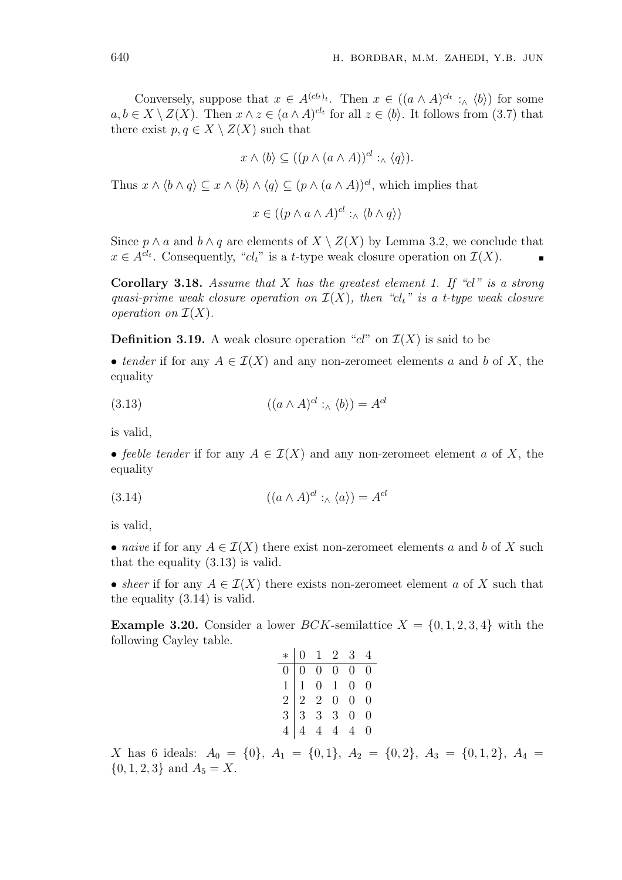Conversely, suppose that  $x \in A^{(cl_t)}$ . Then  $x \in ((a \wedge A)^{cl_t} : \wedge \langle b \rangle)$  for some  $a, b \in X \setminus Z(X)$ . Then  $x \wedge z \in (a \wedge A)^{cl_t}$  for all  $z \in \langle b \rangle$ . It follows from (3.7) that there exist  $p, q \in X \setminus Z(X)$  such that

$$
x \wedge \langle b \rangle \subseteq ((p \wedge (a \wedge A))^{cl} :_{\wedge} \langle q \rangle).
$$

Thus  $x \wedge \langle b \wedge q \rangle \subseteq x \wedge \langle b \rangle \wedge \langle q \rangle \subseteq (p \wedge (a \wedge A))^{cl}$ , which implies that

 $x \in ((p \land a \land A)^{cl}: \land \langle b \land q \rangle)$ 

Since  $p \wedge a$  and  $b \wedge q$  are elements of  $X \setminus Z(X)$  by Lemma 3.2, we conclude that  $x \in A^{clt}$ . Consequently, " $cl_t$ " is a *t*-type weak closure operation on  $\mathcal{I}(X)$ .

**Corollary 3.18.** *Assume that X has the greatest element 1. If "cl" is a strong quasi-prime weak closure operation on*  $\mathcal{I}(X)$ *, then* " $cl_t$ " is a *t-type weak closure operation on*  $\mathcal{I}(X)$ *.* 

**Definition 3.19.** A weak closure operation " $cl$ " on  $\mathcal{I}(X)$  is said to be

• *tender* if for any  $A \in \mathcal{I}(X)$  and any non-zeromeet elements *a* and *b* of *X*, the equality

(3.13) 
$$
((a \wedge A)^{cl} :_{\wedge} \langle b \rangle) = A^{cl}
$$

is valid,

• *feeble tender* if for any  $A \in \mathcal{I}(X)$  and any non-zeromeet element *a* of *X*, the equality

(3.14) 
$$
((a \wedge A)^{cl} :_{\wedge} \langle a \rangle) = A^{cl}
$$

is valid,

• *naive* if for any  $A \in \mathcal{I}(X)$  there exist non-zeromeet elements *a* and *b* of *X* such that the equality (3.13) is valid.

• *sheer* if for any  $A \in \mathcal{I}(X)$  there exists non-zeromeet element *a* of *X* such that the equality (3.14) is valid.

**Example 3.20.** Consider a lower *BCK*-semilattice  $X = \{0, 1, 2, 3, 4\}$  with the following Cayley table.

|  |  | $\begin{array}{c cccc} * & 0 & 1 & 2 & 3 & 4 \\ \hline 0 & 0 & 0 & 0 & 0 & 0 \\ 1 & 1 & 0 & 1 & 0 & 0 \\ 2 & 2 & 2 & 0 & 0 & 0 \\ 3 & 3 & 3 & 3 & 0 & 0 \\ 4 & 4 & 4 & 4 & 4 & 0 \\ \end{array}$ |  |
|--|--|--------------------------------------------------------------------------------------------------------------------------------------------------------------------------------------------------|--|

*X* has 6 ideals: *A*<sup>0</sup> = *{*0*}*, *A*<sup>1</sup> = *{*0*,* 1*}*, *A*<sup>2</sup> = *{*0*,* 2*}*, *A*<sup>3</sup> = *{*0*,* 1*,* 2*}*, *A*<sup>4</sup> =  $\{0, 1, 2, 3\}$  and  $A_5 = X$ .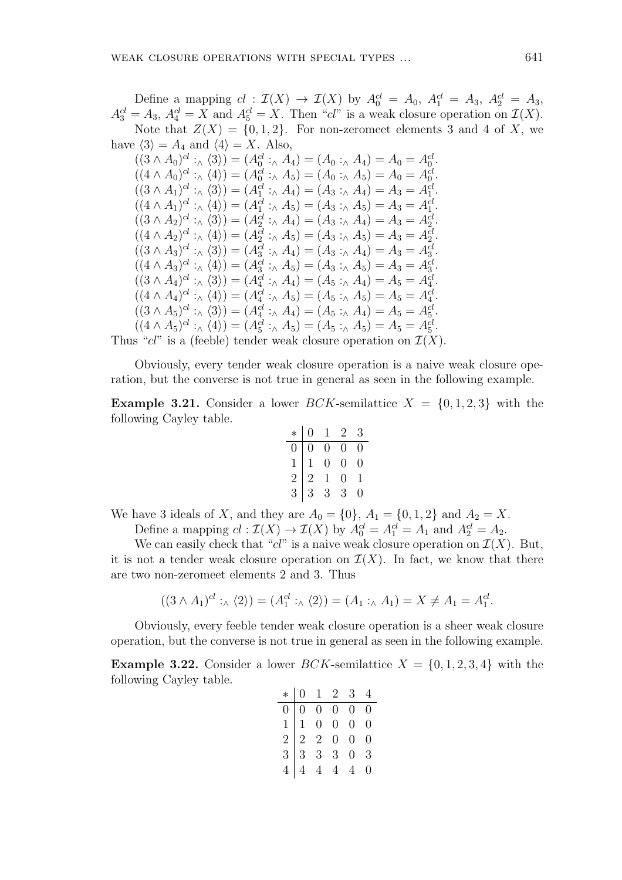Define a mapping  $cl: \mathcal{I}(X) \to \mathcal{I}(X)$  by  $A_0^{cl} = A_0$ ,  $A_1^{cl} = A_3$ ,  $A_2^{cl} = A_3$ ,  $A_3^{cl} = A_3$ ,  $A_4^{cl} = X$  and  $A_5^{cl} = X$ . Then "*cl*" is a weak closure operation on  $\mathcal{I}(X)$ . Note that  $Z(X) = \{0, 1, 2\}$ . For non-zeromeet elements 3 and 4 of X, we have  $\langle 3 \rangle = A_4$  and  $\langle 4 \rangle = X$ . Also,

$$
((3 \wedge A_0)^{cl} :_{\wedge} \langle 3 \rangle) = (A_0^{cl} :_{\wedge} A_4) = (A_0 :_{\wedge} A_4) = A_0 = A_0^{cl}.
$$
  
\n
$$
((4 \wedge A_0)^{cl} :_{\wedge} \langle 4 \rangle) = (A_0^{cl} :_{\wedge} A_5) = (A_0 :_{\wedge} A_5) = A_0 = A_0^{cl}.
$$
  
\n
$$
((3 \wedge A_1)^{cl} :_{\wedge} \langle 3 \rangle) = (A_1^{cl} :_{\wedge} A_4) = (A_3 :_{\wedge} A_4) = A_3 = A_1^{cl}.
$$
  
\n
$$
((4 \wedge A_1)^{cl} :_{\wedge} \langle 4 \rangle) = (A_1^{cl} :_{\wedge} A_5) = (A_3 :_{\wedge} A_5) = A_3 = A_1^{cl}.
$$
  
\n
$$
((3 \wedge A_2)^{cl} :_{\wedge} \langle 3 \rangle) = (A_2^{cl} :_{\wedge} A_4) = (A_3 :_{\wedge} A_4) = A_3 = A_2^{cl}.
$$
  
\n
$$
((4 \wedge A_2)^{cl} :_{\wedge} \langle 4 \rangle) = (A_2^{cl} :_{\wedge} A_5) = (A_3 :_{\wedge} A_5) = A_3 = A_2^{cl}.
$$
  
\n
$$
((3 \wedge A_3)^{cl} :_{\wedge} \langle 3 \rangle) = (A_3^{cl} :_{\wedge} A_4) = (A_3 :_{\wedge} A_4) = A_3 = A_3^{cl}.
$$
  
\n
$$
((4 \wedge A_3)^{cl} :_{\wedge} \langle 4 \rangle) = (A_3^{cl} :_{\wedge} A_5) = (A_3 :_{\wedge} A_5) = A_3 = A_3^{cl}.
$$
  
\n
$$
((3 \wedge A_4)^{cl} :_{\wedge} \langle 3 \rangle) = (A_4^{cl} :_{\wedge} A_4) = (A_5 :_{\wedge} A_5) = A_5 = A_4^{cl}.
$$
  
\n
$$
((4 \wedge A_4)^{cl} :_{\wedge} \langle 4 \rangle) = (A_4
$$

Obviously, every tender weak closure operation is a naive weak closure operation, but the converse is not true in general as seen in the following example.

**Example 3.21.** Consider a lower *BCK*-semilattice  $X = \{0, 1, 2, 3\}$  with the following Cayley table.

$$
\begin{array}{c|cccc}\n* & 0 & 1 & 2 & 3 \\
\hline\n0 & 0 & 0 & 0 & 0 \\
1 & 1 & 0 & 0 & 0 \\
2 & 2 & 1 & 0 & 1 \\
3 & 3 & 3 & 3 & 0\n\end{array}
$$

We have 3 ideals of *X*, and they are  $A_0 = \{0\}$ ,  $A_1 = \{0, 1, 2\}$  and  $A_2 = X$ .

Define a mapping  $cl : \mathcal{I}(X) \to \mathcal{I}(X)$  by  $A_0^{cl} = A_1^{cl} = A_1$  and  $A_2^{cl} = A_2$ .

We can easily check that " $cl$ " is a naive weak closure operation on  $\mathcal{I}(X)$ . But, it is not a tender weak closure operation on  $\mathcal{I}(X)$ . In fact, we know that there are two non-zeromeet elements 2 and 3. Thus

$$
((3 \wedge A_1)^{cl} :_{\wedge} \langle 2 \rangle) = (A_1^{cl} :_{\wedge} \langle 2 \rangle) = (A_1 :_{\wedge} A_1) = X \neq A_1 = A_1^{cl}.
$$

Obviously, every feeble tender weak closure operation is a sheer weak closure operation, but the converse is not true in general as seen in the following example.

**Example 3.22.** Consider a lower *BCK*-semilattice  $X = \{0, 1, 2, 3, 4\}$  with the following Cayley table.

|  |  | $\begin{array}{c cccc} * & 0 & 1 & 2 & 3 & 4 \\ \hline 0 & 0 & 0 & 0 & 0 & 0 \\ 1 & 1 & 0 & 0 & 0 & 0 \\ 2 & 2 & 2 & 0 & 0 & 0 \\ 3 & 3 & 3 & 3 & 0 & 3 \\ 4 & 4 & 4 & 4 & 4 & 0 \\ \end{array}$ |  |
|--|--|--------------------------------------------------------------------------------------------------------------------------------------------------------------------------------------------------|--|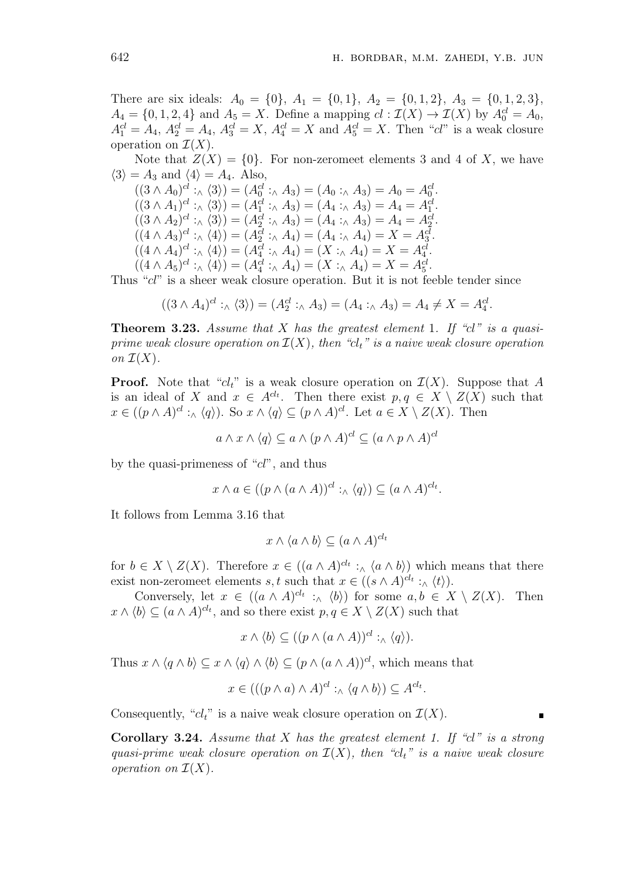There are six ideals:  $A_0 = \{0\}$ ,  $A_1 = \{0, 1\}$ ,  $A_2 = \{0, 1, 2\}$ ,  $A_3 = \{0, 1, 2, 3\}$ ,  $A_4 = \{0, 1, 2, 4\}$  and  $A_5 = X$ . Define a mapping  $cl : \mathcal{I}(X) \to \mathcal{I}(X)$  by  $A_0^{cl} = A_0$ ,  $A_1^{cl} = A_4$ ,  $A_2^{cl} = A_4$ ,  $A_3^{cl} = X$ ,  $A_4^{cl} = X$  and  $A_5^{cl} = X$ . Then "*cl*" is a weak closure operation on  $\mathcal{I}(X)$ .

Note that  $Z(X) = \{0\}$ . For non-zeromeet elements 3 and 4 of X, we have  $\langle 3 \rangle = A_3$  and  $\langle 4 \rangle = A_4$ . Also,

 $((3 \wedge A_0)^{cl} : \wedge \langle 3 \rangle) = (A_0^{cl} : \wedge A_3) = (A_0 : \wedge A_3) = A_0 = A_0^{cl}.$  $((3 \wedge A_1)^{cl} : \wedge \langle 3 \rangle) = (A_1^{cl} : \wedge A_3) = (A_4 : \wedge A_3) = A_4 = A_1^{cl}$ *.*  $((3 \wedge A_2)^{cl} : \wedge \langle 3 \rangle) = (A_2^{cl} : \wedge A_3) = (A_4 : \wedge A_3) = A_4 = A_2^{cl}.$  $((4 \wedge A_3)^{cl} : \wedge \langle 4 \rangle) = (A_2^{cl} : \wedge A_4) = (A_4 : \wedge A_4) = X = A_3^{cl}.$  $((4 \wedge A_4)^{cl} : \wedge \langle 4 \rangle) = (A_4^{cl} : \wedge A_4) = (X : \wedge A_4) = X = A_4^{cl}.$  $((4 \wedge A_5)^{cl}: \wedge \langle 4 \rangle) = (A_4^{cl}: \wedge A_4) = (X: \wedge A_4) = X = A_5^{cl}.$ 

Thus "*cl*" is a sheer weak closure operation. But it is not feeble tender since

$$
((3 \wedge A_4)^{cl} :_{\wedge} \langle 3 \rangle) = (A_2^{cl} :_{\wedge} A_3) = (A_4 :_{\wedge} A_3) = A_4 \neq X = A_4^{cl}.
$$

**Theorem 3.23.** *Assume that X has the greatest element* 1*. If "cl" is a quasiprime weak closure operation on*  $\mathcal{I}(X)$ *, then "cl<sub>t</sub>" is a naive weak closure operation on*  $\mathcal{I}(X)$ *.* 

**Proof.** Note that " $cl_t$ " is a weak closure operation on  $\mathcal{I}(X)$ . Suppose that A is an ideal of *X* and  $x \in A^{cl_t}$ . Then there exist  $p, q \in X \setminus Z(X)$  such that  $x \in ((p \wedge A)^{cl}:_{\wedge} \langle q \rangle)$ . So  $x \wedge \langle q \rangle \subseteq (p \wedge A)^{cl}$ . Let  $a \in X \setminus Z(X)$ . Then

 $a \wedge x \wedge \langle q \rangle \subseteq a \wedge (p \wedge A)^{cl} \subseteq (a \wedge p \wedge A)^{cl}$ 

by the quasi-primeness of "*cl*", and thus

$$
x \wedge a \in ((p \wedge (a \wedge A))^{cl}:_{\wedge} \langle q \rangle) \subseteq (a \wedge A)^{cl_t}.
$$

It follows from Lemma 3.16 that

$$
x \wedge \langle a \wedge b \rangle \subseteq (a \wedge A)^{cl_t}
$$

for  $b \in X \setminus Z(X)$ . Therefore  $x \in ((a \wedge A)^{cl_t}: \wedge \langle a \wedge b \rangle)$  which means that there exist non-zeromeet elements *s*, *t* such that  $x \in ((s \wedge A)^{cl_t}:_{\wedge} \langle t \rangle).$ 

Conversely, let  $x \in ((a \land A)^{cl_t} : \land \langle b \rangle)$  for some  $a, b \in X \setminus Z(X)$ . Then  $x \wedge \langle b \rangle \subseteq (a \wedge A)^{cl_t}$ , and so there exist  $p, q \in X \setminus Z(X)$  such that

 $x \wedge \langle b \rangle \subseteq ((p \wedge (a \wedge A))^{cl}: \wedge \langle q \rangle).$ 

Thus  $x \wedge \langle q \wedge b \rangle \subseteq x \wedge \langle q \rangle \wedge \langle b \rangle \subseteq (p \wedge (a \wedge A))^{cl}$ , which means that

$$
x \in (((p \wedge a) \wedge A)^{cl} :_{\wedge} \langle q \wedge b \rangle) \subseteq A^{cl_{t}}.
$$

Consequently, " $cl_t$ " is a naive weak closure operation on  $\mathcal{I}(X)$ .

**Corollary 3.24.** *Assume that X has the greatest element 1. If "cl" is a strong quasi-prime weak closure operation on*  $\mathcal{I}(X)$ *, then* " $cl_t$ " *is a naive weak closure operation on*  $\mathcal{I}(X)$ .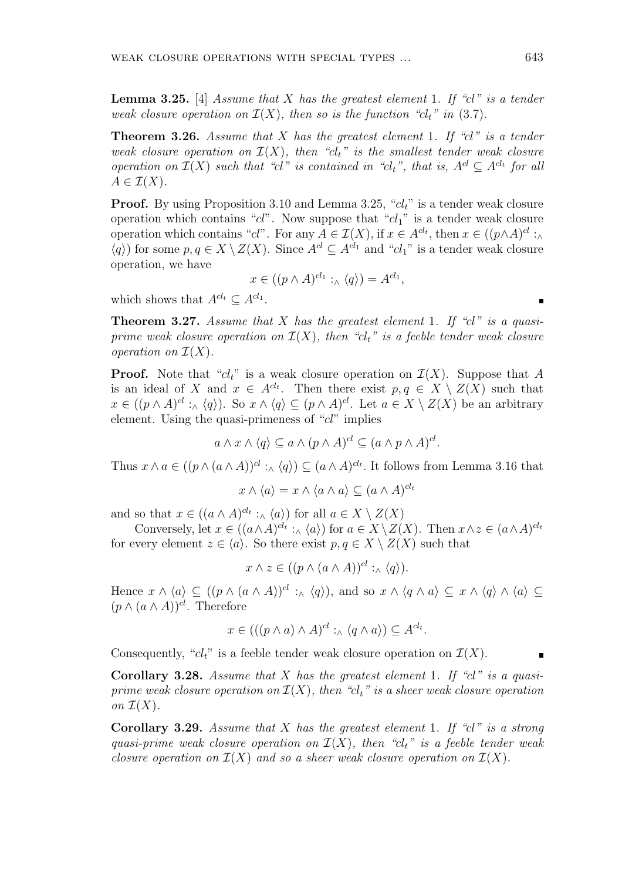**Lemma 3.25.** [4] *Assume that X has the greatest element* 1*. If "cl" is a tender weak closure operation on*  $\mathcal{I}(X)$ *, then so is the function "cl<sub>t</sub>" in* (3.7)*.* 

**Theorem 3.26.** *Assume that X has the greatest element* 1*. If "cl" is a tender weak closure operation on*  $\mathcal{I}(X)$ *, then* " $cl_t$ " *is the smallest tender weak closure operation on*  $\mathcal{I}(X)$  *such that "cl*" *is contained in "cl<sub>t</sub>", that is,*  $A^{cl} \subseteq A^{cl_t}$  *for all*  $A \in \mathcal{I}(X)$ .

**Proof.** By using Proposition 3.10 and Lemma 3.25, "*clt*" is a tender weak closure operation which contains "*cl*". Now suppose that "*cl*1" is a tender weak closure operation which contains "*cl*". For any  $A \in \mathcal{I}(X)$ , if  $x \in A^{cl_t}$ , then  $x \in ((p \wedge A)^{cl} : \wedge$  $\langle q \rangle$ ) for some *p, q* ∈ *X*  $\setminus$  *Z*(*X*). Since *A*<sup>*cl*</sup>  $\subseteq$  *A*<sup>*cl*<sub>1</sub></sup> and "*cl*<sub>1</sub>" is a tender weak closure operation, we have

$$
x \in ((p \wedge A)^{cl_1} :_{\wedge} \langle q \rangle) = A^{cl_1},
$$

which shows that  $A^{cl_t} \subseteq A^{cl_1}$ .

**Theorem 3.27.** *Assume that X has the greatest element* 1*. If "cl" is a quasiprime weak closure operation on*  $\mathcal{I}(X)$ *, then "cl<sub>t</sub>" is a feeble tender weak closure operation on*  $\mathcal{I}(X)$ .

**Proof.** Note that " $cl_t$ " is a weak closure operation on  $\mathcal{I}(X)$ . Suppose that A is an ideal of *X* and  $x \in A^{cl_t}$ . Then there exist  $p, q \in X \setminus Z(X)$  such that  $x \in ((p \wedge A)^{cl}:_{\wedge} \langle q \rangle)$ . So  $x \wedge \langle q \rangle \subseteq (p \wedge A)^{cl}$ . Let  $a \in X \setminus Z(X)$  be an arbitrary element. Using the quasi-primeness of "*cl*" implies

$$
a \wedge x \wedge \langle q \rangle \subseteq a \wedge (p \wedge A)^{cl} \subseteq (a \wedge p \wedge A)^{cl}.
$$

Thus  $x \wedge a \in ((p \wedge (a \wedge A))^{cl} :_{\wedge} \langle q \rangle) \subseteq (a \wedge A)^{cl_t}$ . It follows from Lemma 3.16 that

$$
x \wedge \langle a \rangle = x \wedge \langle a \wedge a \rangle \subseteq (a \wedge A)^{cl_t}
$$

and so that  $x \in ((a \land A)^{cl_t} : \land \langle a \rangle)$  for all  $a \in X \setminus Z(X)$ 

Conversely, let  $x \in ((a \wedge A)^{cl_t} :_{\wedge} \langle a \rangle)$  for  $a \in X \setminus Z(X)$ . Then  $x \wedge z \in (a \wedge A)^{cl_t}$ for every element  $z \in \langle a \rangle$ . So there exist  $p, q \in X \setminus Z(X)$  such that

$$
x \wedge z \in ((p \wedge (a \wedge A))^{cl}:_{\wedge} \langle q \rangle).
$$

Hence  $x \wedge \langle a \rangle \subseteq ((p \wedge (a \wedge A))^{cl} :_{\wedge} \langle q \rangle)$ , and so  $x \wedge \langle q \wedge a \rangle \subseteq x \wedge \langle q \rangle \wedge \langle a \rangle \subseteq$  $(p \wedge (a \wedge A))^{cl}$ . Therefore

$$
x \in (((p \wedge a) \wedge A)^{cl} :_{\wedge} \langle q \wedge a \rangle) \subseteq A^{cl_{t}}.
$$

Consequently, " $cl_t$ " is a feeble tender weak closure operation on  $\mathcal{I}(X)$ .

**Corollary 3.28.** *Assume that X has the greatest element* 1*. If "cl" is a quasiprime weak closure operation on*  $\mathcal{I}(X)$ *, then "cl<sub>t</sub>" is a sheer weak closure operation on*  $\mathcal{I}(X)$ .

**Corollary 3.29.** *Assume that X has the greatest element* 1*. If "cl" is a strong quasi-prime weak closure operation on*  $\mathcal{I}(X)$ , then " $cl_t$ " is a feeble tender weak *closure operation on*  $\mathcal{I}(X)$  *and so a sheer weak closure operation on*  $\mathcal{I}(X)$ *.*